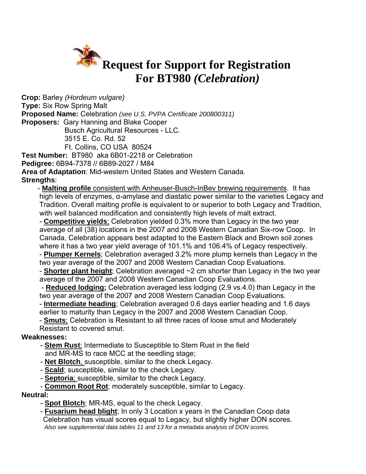

**Crop:** Barley *(Hordeum vulgare)*  **Type:** Six Row Spring Malt **Proposed Name:** Celebration *(see U.S. PVPA Certificate 200800311)* **Proposers:** Gary Hanning and Blake Cooper Busch Agricultural Resources - LLC. 3515 E. Co. Rd. 52 Ft. Collins, CO USA 80524 **Test Number:** BT980 aka 6B01-2218 or Celebration **Pedigree:** 6B94-7378 // 6B89-2027 / M84 **Area of Adaptation**: Mid-western United States and Western Canada.

**Strengths**:

- **Malting profile** consistent with Anheuser-Busch-InBev brewing requirements. It has high levels of enzymes, α-amylase and diastatic power similar to the varieties Legacy and Tradition. Overall malting profile is equivalent to or superior to both Legacy and Tradition, with well balanced modification and consistently high levels of malt extract.

 - **Competitive yields**; Celebration yielded 0.3% more than Legacy in the two year average of all (38) locations in the 2007 and 2008 Western Canadian Six-row Coop. In Canada, Celebration appears best adapted to the Eastern Black and Brown soil zones where it has a two year yield average of 101.1% and 106.4% of Legacy respectively. - **Plumper Kernels**; Celebration averaged 3.2% more plump kernels than Legacy in the two year average of the 2007 and 2008 Western Canadian Coop Evaluations.

 - **Shorter plant height**; Celebration averaged ~2 cm shorter than Legacy in the two year average of the 2007 and 2008 Western Canadian Coop Evaluations.

 - **Reduced lodging;** Celebration averaged less lodging (2.9 vs.4.0) than Legacy in the two year average of the 2007 and 2008 Western Canadian Coop Evaluations.

 - **Intermediate heading**; Celebration averaged 0.6 days earlier heading and 1.6 days earlier to maturity than Legacy in the 2007 and 2008 Western Canadian Coop.

 - **Smuts**; Celebration is Resistant to all three races of loose smut and Moderately Resistant to covered smut.

#### **Weaknesses:**

- **Stem Rust**; Intermediate to Susceptible to Stem Rust in the field and MR-MS to race MCC at the seedling stage;
- **Net Blotch**, susceptible, similar to the check Legacy.
- **Scald**; susceptible, similar to the check Legacy.
- **Septoria**; susceptible, similar to the check Legacy.

- **Common Root Rot**; moderately susceptible, similar to Legacy.

#### **Neutral:**

- **Spot Blotch**; MR-MS, equal to the check Legacy.

- **Fusarium head blight**; In only 3 Location x years in the Canadian Coop data Celebration has visual scores equal to Legacy, but slightly higher DON scores. *Also see supplemental data tables 11 and 13 for a metadata analysis of DON scores.*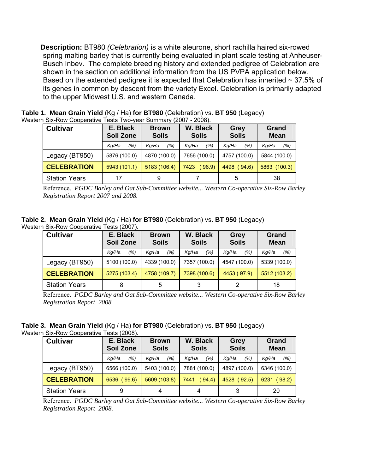**Description:** BT980 *(Celebration)* is a white aleurone, short rachilla haired six-rowed spring malting barley that is currently being evaluated in plant scale testing at Anheuser-Busch Inbev. The complete breeding history and extended pedigree of Celebration are shown in the section on additional information from the US PVPA application below. Based on the extended pedigree it is expected that Celebration has inherited  $\sim$  37.5% of its genes in common by descent from the variety Excel. Celebration is primarily adapted to the upper Midwest U.S. and western Canada.

| <b>Cultivar</b>      | E. Black<br>Soil Zone | <b>Brown</b><br><b>Soils</b> | W. Black<br><b>Soils</b> | Grey<br><b>Soils</b> | Grand<br><b>Mean</b> |
|----------------------|-----------------------|------------------------------|--------------------------|----------------------|----------------------|
|                      | (%)<br>Kq/Ha          | (%)<br>Kq/Ha                 | (% )<br>Kq/Ha            | (% )<br>Kg/Ha        | (%)<br>Kq/Ha         |
| Legacy (BT950)       | 5876 (100.0)          | 4870 (100.0)                 | 7656 (100.0)             | 4757 (100.0)         | 5844 (100.0)         |
| <b>CELEBRATION</b>   | 5943(101.1)           | 5183 (106.4)                 | 7423<br>(96.9)           | 4498 (94.6)          | 5863 (100.3)         |
| <b>Station Years</b> | 17                    | 9                            |                          | 5                    | 38                   |

**Table 1. Mean Grain Yield** (Kg / Ha) **for BT980** (Celebration) vs. **BT 950** (Legacy) Western Six-Row Cooperative Tests Two-year Summary (2007 - 2008).

Reference. *PGDC Barley and Oat Sub-Committee website... Western Co-operative Six-Row Barley Registration Report 2007 and 2008.* 

**Table 2. Mean Grain Yield** (Kg / Ha) **for BT980** (Celebration) vs. **BT 950** (Legacy) Western Six-Row Cooperative Tests (2007).

| <b>Cultivar</b>      | E. Black<br><b>Soil Zone</b> | <b>Brown</b><br><b>Soils</b> | W. Black<br><b>Soils</b> | Grey<br><b>Soils</b> | Grand<br><b>Mean</b> |  |  |  |
|----------------------|------------------------------|------------------------------|--------------------------|----------------------|----------------------|--|--|--|
|                      | (% )<br>Ka/Ha                | (%)<br>Kq/Ha                 | (%)<br>Kg/Ha             | (%)<br>Kq/Ha         | (% )<br>Kq/Ha        |  |  |  |
| Legacy (BT950)       | 5100 (100.0)                 | 4339 (100.0)                 | 7357 (100.0)             | 4547 (100.0)         | 5339 (100.0)         |  |  |  |
| <b>CELEBRATION</b>   | 5275 (103.4)                 | 4758 (109.7)                 | 7398 (100.6)             | 4453 (97.9)          | 5512 (103.2)         |  |  |  |
| <b>Station Years</b> | 8                            | 5                            | 3                        |                      | 18                   |  |  |  |

Reference. *PGDC Barley and Oat Sub-Committee website... Western Co-operative Six-Row Barley Registration Report 2008* 

**Table 3. Mean Grain Yield** (Kg / Ha) **for BT980** (Celebration) vs. **BT 950** (Legacy)

Western Six-Row Cooperative Tests (2008).

| <b>Cultivar</b>      | E. Black<br>Soil Zone | <b>Brown</b><br><b>Soils</b> | W. Black<br><b>Soils</b> | Grey<br><b>Soils</b> | Grand<br><b>Mean</b> |
|----------------------|-----------------------|------------------------------|--------------------------|----------------------|----------------------|
|                      | (%)<br>Kg/Ha          | (%)<br>Kq/Ha                 | (% )<br>Kq/Ha            | (% )<br>Kg/Ha        | (%)<br>Kq/Ha         |
| Legacy (BT950)       | 6566 (100.0)          | 5403 (100.0)                 | 7881 (100.0)             | 4897 (100.0)         | 6346 (100.0)         |
| <b>CELEBRATION</b>   | 6536 (99.6)           | 5609 (103.8)                 | (94.4)<br>7441           | 4528 (92.5)          | 6231 (98.2)          |
| <b>Station Years</b> | 9                     | 4                            | 4                        | 3                    | 20                   |

Reference. *PGDC Barley and Oat Sub-Committee website... Western Co-operative Six-Row Barley Registration Report 2008.*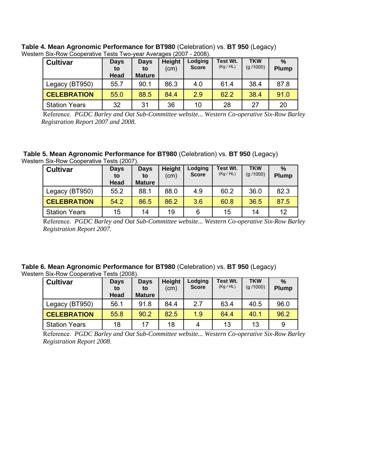| <b>Cultivar</b>      | <b>Days</b><br>to<br>Head | <b>Days</b><br>to<br><b>Mature</b> | Height<br>(cm) | Lodging<br><b>Score</b> | Test Wt.<br>(Kg/HL) | <b>TKW</b><br>(q / 1000) | $\frac{0}{0}$<br><b>Plump</b> |
|----------------------|---------------------------|------------------------------------|----------------|-------------------------|---------------------|--------------------------|-------------------------------|
| Legacy (BT950)       | 55.7                      | 90.1                               | 86.3           | 4.0                     | 61.4                | 38.4                     | 87.8                          |
| <b>CELEBRATION</b>   | 55.0                      | 88.5                               | 84.4           | 2.9                     | 62.2                | 38.4                     | 91.0                          |
| <b>Station Years</b> | 32                        | 31                                 | 36             | 10                      | 28                  | 27                       | 20                            |

**Table 4. Mean Agronomic Performance for BT980** (Celebration) vs. **BT 950** (Legacy) Western Six-Row Cooperative Tests Two-year Averages (2007 - 2008).

Reference. *PGDC Barley and Oat Sub-Committee website... Western Co-operative Six-Row Barley Registration Report 2007 and 2008.* 

**Table 5. Mean Agronomic Performance for BT980** (Celebration) vs. **BT 950** (Legacy) Western Six-Row Cooperative Tests (2007).

| <b>Cultivar</b>      | Height<br>Lodging<br><b>Days</b><br><b>Days</b><br><b>Score</b><br>(cm)<br>to<br>to<br>Head<br><b>Mature</b> |      | Test Wt.<br>(Kg/HL) | <b>TKW</b><br>(g / 1000) | $\frac{0}{2}$<br><b>Plump</b> |      |      |
|----------------------|--------------------------------------------------------------------------------------------------------------|------|---------------------|--------------------------|-------------------------------|------|------|
| Legacy (BT950)       | 55.2                                                                                                         | 88.1 | 88.0                | 4.9                      | 60.2                          | 36.0 | 82.3 |
| <b>CELEBRATION</b>   | 54.2                                                                                                         | 86.5 | 86.2                | 3.6                      | 60.8                          | 36.5 | 87.5 |
| <b>Station Years</b> | 15                                                                                                           | 14   | 19                  | 6                        | 15                            | 14   | 12   |

Reference. *PGDC Barley and Oat Sub-Committee website... Western Co-operative Six-Row Barley Registration Report 2007.* 

### **Table 6. Mean Agronomic Performance for BT980** (Celebration) vs. **BT 950** (Legacy)

Western Six-Row Cooperative Tests (2008).

| <b>Cultivar</b>      | <b>Days</b><br>to<br>Head | <b>Days</b><br>to<br><b>Mature</b> | <b>Height</b><br>(cm) | Lodging<br><b>Score</b> | Test Wt.<br>(Kg/HL) | <b>TKW</b><br>(g / 1000) | $\frac{0}{0}$<br><b>Plump</b> |
|----------------------|---------------------------|------------------------------------|-----------------------|-------------------------|---------------------|--------------------------|-------------------------------|
| Legacy (BT950)       | 56.1                      | 91.8                               | 84.4                  | 2.7                     | 63.4                | 40.5                     | 96.0                          |
| <b>CELEBRATION</b>   | 55.8                      | 90.2                               | 82.5                  | 1.9                     | 64.4                | 40.1                     | 96.2                          |
| <b>Station Years</b> | 18                        | 17                                 | 18                    | 4                       | 13                  | 13                       | 9                             |

Reference. *PGDC Barley and Oat Sub-Committee website... Western Co-operative Six-Row Barley Registration Report 2008.*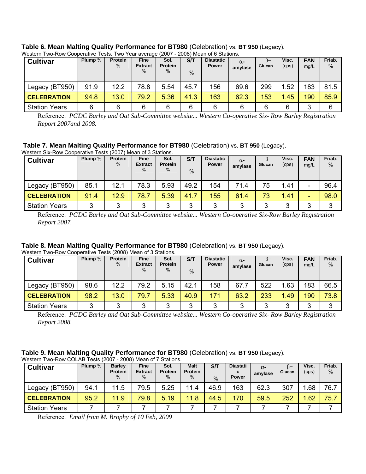| <b>Cultivar</b>      | Plump $%$ | <b>Protein</b><br>$\%$ | <b>Fine</b><br><b>Extract</b><br>$\%$ | Sol.<br><b>Protein</b><br>$\%$ | S/T<br>$\frac{0}{0}$ | <b>Diastatic</b><br><b>Power</b> | $\alpha$ -<br>amylase | $B-$<br>Glucan | Visc.<br>(cps) | <b>FAN</b><br>mq/L | Friab.<br>$\%$ |
|----------------------|-----------|------------------------|---------------------------------------|--------------------------------|----------------------|----------------------------------|-----------------------|----------------|----------------|--------------------|----------------|
| Legacy (BT950)       | 91.9      | 12.2                   | 78.8                                  | 5.54                           | 45.7                 | 156                              | 69.6                  | 299            | 1.52           | 183                | 81.5           |
| <b>CELEBRATION</b>   | 94.8      | 13.0                   | 79.2                                  | 5.36                           | 41.3                 | 163                              | 62.3                  | 153            | 1.45           | 190                | 85.9           |
| <b>Station Years</b> | 6         | 6                      | 6                                     | 6                              | 6                    | 6                                | 6                     | 6              | 6              | ◠<br>J             | 6              |

# **Table 6. Mean Malting Quality Performance for BT980** (Celebration) vs. **BT 950** (Legacy).

Reference. *PGDC Barley and Oat Sub-Committee website... Western Co-operative Six- Row Barley Registration Report 2007and 2008.* 

#### **Table 7. Mean Malting Quality Performance for BT980** (Celebration) vs. **BT 950** (Legacy).

| <b>Cultivar</b>      | Plump $%$ | <b>Protein</b><br>$\%$ | Fine<br><b>Extract</b><br>$\%$ | Sol.<br><b>Protein</b><br>% | S/T<br>$\%$ | <b>Diastatic</b><br><b>Power</b> | $\alpha$ -<br>amylase | ß–<br>Glucan | Visc.<br>(cps) | <b>FAN</b><br>mg/L | Friab.<br>$\%$ |
|----------------------|-----------|------------------------|--------------------------------|-----------------------------|-------------|----------------------------------|-----------------------|--------------|----------------|--------------------|----------------|
| Legacy (BT950)       | 85.1      | 12.1                   | 78.3                           | 5.93                        | 49.2        | 154                              | 71.4                  | 75           | 1.41           |                    | 96.4           |
| <b>CELEBRATION</b>   | 91.4      | 12.9                   | 78.7                           | 5.39                        | 41.7        | 155                              | 61.4                  | 73           | 1.41           | -                  | 98.0           |
| <b>Station Years</b> | 3         | 3                      | 3                              | 3                           | 3           | 3                                | 3                     | ◠            | 3              | ົ                  | 3              |

Reference. *PGDC Barley and Oat Sub-Committee website... Western Co-operative Six-Row Barley Registration Report 2007.* 

# **Table 8. Mean Malting Quality Performance for BT980** (Celebration) vs. **BT 950** (Legacy).

| Western Two-Row Cooperative Tests (2008) Mean of 3 Stations. |         |                        |                                       |                                |             |                                  |                       |              |                |                    |                |
|--------------------------------------------------------------|---------|------------------------|---------------------------------------|--------------------------------|-------------|----------------------------------|-----------------------|--------------|----------------|--------------------|----------------|
| <b>Cultivar</b>                                              | Plump % | <b>Protein</b><br>$\%$ | <b>Fine</b><br><b>Extract</b><br>$\%$ | Sol.<br><b>Protein</b><br>$\%$ | S/T<br>$\%$ | <b>Diastatic</b><br><b>Power</b> | $\alpha$ -<br>amylase | B-<br>Glucan | Visc.<br>(cps) | <b>FAN</b><br>mq/L | Friab.<br>$\%$ |
| Legacy (BT950)                                               | 98.6    | 12.2                   | 79.2                                  | 5.15                           | 42.1        | 158                              | 67.7                  | 522          | 1.63           | 183                | 66.5           |
| <b>CELEBRATION</b>                                           | 98.2    | 13.0                   | 79.7                                  | 5.33                           | 40.9        | 171                              | 63.2                  | 233          | 1.49           | 190                | 73.8           |
| <b>Station Years</b>                                         | 3       | 3                      | 3                                     | 3                              | 3           | ◠                                | 3                     | っ            | 2<br>J         | 3                  |                |

Reference. *PGDC Barley and Oat Sub-Committee website... Western Co-operative Six- Row Barley Registration Report 2008.* 

#### **Table 9. Mean Malting Quality Performance for BT980** (Celebration) vs. **BT 950** (Legacy).

| <b>Cultivar</b>      | Plump $%$ | <b>Barley</b><br><b>Protein</b><br>$\%$ | <b>Fine</b><br><b>Extract</b><br>$\%$ | Sol.<br><b>Protein</b><br>$\%$ | <b>Malt</b><br><b>Protein</b><br>$\%$ | S/T<br>$\%$ | <b>Diastati</b><br>C<br><b>Power</b> | $\alpha$ -<br>amylase | Glucan | Visc.<br>(cps) | Friab.<br>$\%$ |
|----------------------|-----------|-----------------------------------------|---------------------------------------|--------------------------------|---------------------------------------|-------------|--------------------------------------|-----------------------|--------|----------------|----------------|
| Legacy (BT950)       | 94.1      | 11.5                                    | 79.5                                  | 5.25                           | 11.4                                  | 46.9        | 163                                  | 62.3                  | 307    | .68            | 76.7           |
| <b>CELEBRATION</b>   | 95.2      | 11.9                                    | 79.8                                  | 5.19                           | 11.8                                  | 44.5        | 170                                  | 59.5                  | 252    | .62            | 75.7           |
| <b>Station Years</b> |           |                                         |                                       |                                |                                       |             |                                      |                       |        |                |                |

Reference. *Email from M. Brophy of 10 Feb, 2009*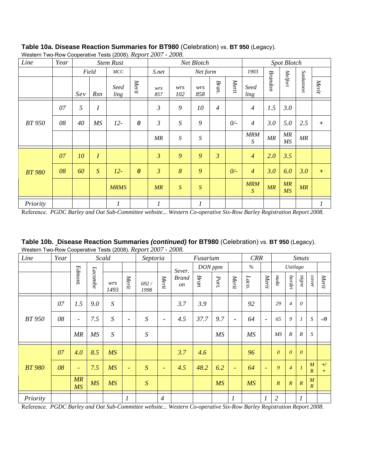| Line          | Year |     |                  | <b>Stem Rust</b> |                       |                |                  | Net Blotch       |                |       |                              |         | <b>Spot Blotch</b> |           |       |
|---------------|------|-----|------------------|------------------|-----------------------|----------------|------------------|------------------|----------------|-------|------------------------------|---------|--------------------|-----------|-------|
|               |      |     | Field            | MCC              |                       | S.net          |                  | Net form         |                |       | 1903                         |         |                    |           |       |
|               |      | Sev | Rxn              | Seed<br>ling     | Merit                 | wrs<br>857     | wrs<br>102       | wrs<br>858       | Bran.          | Merit | Seed<br>ling                 | Brandon | Melfort            | Saskatoon | Merit |
|               | 07   | 5   | $\boldsymbol{I}$ |                  |                       | $\mathfrak{Z}$ | 9                | 10               | $\overline{4}$ |       | $\overline{4}$               | 1.5     | 3.0                |           |       |
| <b>BT</b> 950 | 08   | 40  | MS               | $12-$            | $\boldsymbol{\theta}$ | $\mathfrak{Z}$ | S                | 9                |                | $0/-$ | $\overline{4}$               | 3.0     | 5.0                | 2.5       | $+$   |
|               |      |     |                  |                  |                       | MR             | $\boldsymbol{S}$ | $\boldsymbol{S}$ |                |       | <b>MRM</b><br>$\overline{S}$ | MR      | MR<br>MS           | MR        |       |
|               | 07   | 10  | $\boldsymbol{I}$ |                  |                       | $\mathfrak{Z}$ | 9                | 9                | $\mathfrak{Z}$ |       | $\overline{4}$               | 2.0     | 3.5                |           |       |
| <b>BT 980</b> | 08   | 60  | S                | $12-$            | $\boldsymbol{\theta}$ | $\overline{3}$ | 8                | 9                |                | $0/-$ | $\overline{4}$               | 3.0     | 6.0                | 3.0       | $+$   |
|               |      |     |                  | <b>MRMS</b>      |                       | MR             | $\boldsymbol{S}$ | $\overline{S}$   |                |       | <b>MRM</b><br>$\overline{S}$ | MR      | MR<br>MS           | MR        |       |
| Priority      |      |     |                  | 1                |                       | 1              |                  | $\boldsymbol{l}$ |                |       |                              |         |                    |           |       |

**Table 10a. Disease Reaction Summaries for BT980** (Celebration) vs. **BT 950** (Legacy). Western Two-Row Cooperative Tests (2008). *Report 2007 - 2008.* 

Reference. *PGDC Barley and Oat Sub-Committee website... Western Co-operative Six-Row Barley Registration Report 2008.* 

**Table 10b. Disease Reaction Summaries** *(continued)* **for BT980** (Celebration) vs. **BT 950** (Legacy). Western Two-Row Cooperative Tests (2008). *Report 2007 - 2008.* 

| Line          | Year |                          |           | Scald            |                  | Septoria         |                |                           | Fusarium |      |                          | <b>CRR</b> |                          |                  |                 | <b>Smuts</b>     |                                    |              |
|---------------|------|--------------------------|-----------|------------------|------------------|------------------|----------------|---------------------------|----------|------|--------------------------|------------|--------------------------|------------------|-----------------|------------------|------------------------------------|--------------|
|               |      |                          |           |                  |                  |                  |                | Sever.                    | DON ppm  |      |                          | $\%$       |                          |                  | <b>Ustilago</b> |                  |                                    |              |
|               |      | Edmont.                  | Lacombe   | wrs<br>1493      | Merit            | 692/<br>1998     | Merit          | <b>Brand</b><br><i>on</i> | Bran     | Port | Merit                    | Laco.      | Merit                    | nuda             | hordei          | $m\bar g n a$    | cover                              | Merit        |
|               | 07   | 1.5                      | 9.0       | $\boldsymbol{S}$ |                  |                  |                | 3.7                       | 3.9      |      |                          | 92         |                          | 29               | $\overline{4}$  | $\theta$         |                                    |              |
| <b>BT</b> 950 | 08   | $\overline{\phantom{a}}$ | 7.5       | $\boldsymbol{S}$ | $\blacksquare$   | S                | $\blacksquare$ | 4.5                       | 37.7     | 9.7  | $\blacksquare$           | 64         | $\blacksquare$           | 65               | 9               |                  | $\cal S$                           | $-1/0$       |
|               |      | MR                       | MS        | S                |                  | $\boldsymbol{S}$ |                |                           |          | MS   |                          | MS         |                          | MS               | $\cal R$        | $\overline{R}$   | S                                  |              |
|               | 07   | 4.0                      | 8.5       | <b>MS</b>        |                  |                  |                | 3.7                       | 4.6      |      |                          | 96         |                          | $\theta$         | $\theta$        | $\theta$         |                                    |              |
| <b>BT 980</b> | 08   | $\overline{\phantom{a}}$ | 7.5       | MS               | $\blacksquare$   | S                | $\blacksquare$ | 4.5                       | 48.2     | 6.2  | $\overline{\phantom{a}}$ | 64         | $\overline{\phantom{a}}$ | 9                | $\overline{4}$  |                  | M<br>$\overline{R}$                | $+$ /<br>$+$ |
|               |      | MR<br><b>MS</b>          | <b>MS</b> | <b>MS</b>        |                  | S                |                |                           |          | MS   |                          | <b>MS</b>  |                          | $\boldsymbol{R}$ | $\overline{R}$  | $\overline{R}$   | $\boldsymbol{M}$<br>$\overline{R}$ |              |
| Priority      |      |                          |           |                  | $\boldsymbol{l}$ |                  | $\overline{4}$ |                           |          |      | $\boldsymbol{l}$         |            | $\boldsymbol{l}$         | $\mathfrak{2}$   |                 | $\boldsymbol{l}$ |                                    |              |

Reference. *PGDC Barley and Oat Sub-Committee website... Western Co-operative Six-Row Barley Registration Report 2008.*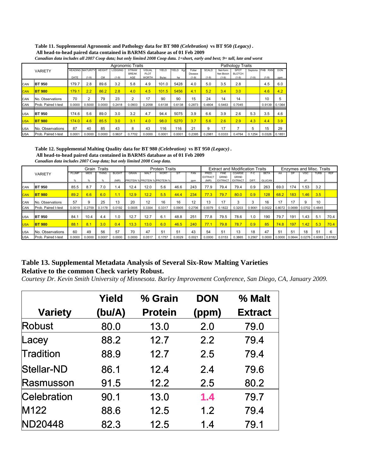#### **Table 11. Supplemental Agronomic and Pathology data for BT 980** *(Celebration)* **vs BT 950** *(Legacy)* **. All head-to-head paired data contained in BARMS database as of 01 Feb 2009**

|            |                     | Agronomic Traits |                         |               |                |                     |                      |        |              | <b>Pathology Traits</b> |              |                       |                          |          |         |            |
|------------|---------------------|------------------|-------------------------|---------------|----------------|---------------------|----------------------|--------|--------------|-------------------------|--------------|-----------------------|--------------------------|----------|---------|------------|
|            | <b>VARIETY</b>      |                  | <b>HEADING MATURITY</b> | <b>HEIGHT</b> | <b>LODGING</b> | <b>STRAW</b>        | <b>VISUAL</b>        | YIELD  | YIELD<br>Ka/ | Foliar                  | <b>SCALD</b> | Net-form              | <b>SPOT</b>              | Septoria | FHB RXN | <b>DON</b> |
|            |                     | DATE             | $(1-9)$                 | <b>CM</b>     | $(1-9)$        | <b>BREAK</b><br>AGE | PLOT<br><b>WORTH</b> | Bu/ac  | ha           | Disease<br>$(1-9)$      | $(1-9)$      | Net Blotch<br>$(1-9)$ | <b>BLOTCH</b><br>$(1-9)$ | $(1-9)$  | $(1-9)$ | ppm        |
|            |                     |                  |                         |               |                |                     |                      |        |              |                         |              |                       |                          |          |         |            |
| <b>CAN</b> | <b>BT 950</b>       | 179.7            | 2.8                     | 89.6          | 3.2            | 5.8                 | 4.9                  | 101.0  | 5428         | 4.0                     | 5.0          | 3.5                   | 2.8                      |          | 4.5     | 6.0        |
| <b>CAN</b> | <b>BT 980</b>       | 179.1            | 2.2                     | 86.2          | 2.8            | 4.0                 | 4.5                  | 101.5  | 5456         | 4.1                     | 5.2          | 3.4                   | 3.0                      |          | 4.6     | 4.2        |
| <b>CAN</b> | No. Observations    | 70               | 2                       | 79            | 23             | 2                   | 17                   | 90     | 90           | 15                      | 24           | 14                    | 14                       |          | 10      | 5          |
| CAN        | Prob. Paired t-test | 0.0000           | 0.5000                  | 0.0000        | 0.2418         | 0.0903              | 0.2058               | 0.6138 | 0.6138       | 0.2873                  | 0.4804       | 0.5463                | 0.7045                   |          | 0.9139  | 0.1364     |
| <b>USA</b> | <b>BT 950</b>       | 174.6            | 5.6                     | 89.0          | 3.0            | 3.2                 | 4.7                  | 94.4   | 5075         | 3.9                     | 6.6          | 3.9                   | 2.6                      | 5.3      | 3.5     | 4.6        |
| <b>USA</b> | <b>BT 980</b>       | 174.0            | 4.6                     | 85.5          | 3.0            | 3.1                 | 4.0                  | 98.0   | 5270         | 3.7                     | 5.6          | 2.6                   | 2.9                      | 4.3      | 4.4     | 3.9        |
| <b>USA</b> | No. Observations    | 87               | 40                      | 85            | 43             | 8                   | 43                   | 116    | 116          | 21                      | 9            | 17                    |                          | 5        | 15      | 29         |
| <b>USA</b> | Prob. Paired t-test | 0.0001           | 0.0000                  | 0.0000        | 0.9637         | 0.7702              | 0.0000               | 0.0001 | 0.0001       | 0.2395                  | 0.2981       | 0.0333                | 0.4764                   | 0.1254   | 0.0326  | 0.1851     |

*Canadian data includes all 2007 Coop data; but only limited 2008 Coop data. 1=short, early and best; 9= tall, late and worst*

**Table 12. Supplemental Malting Quality data for BT 980** *(Celebration)* **vs BT 950** *(Legacy)* **. All head-to-head paired data contained in BARMS database as of 01 Feb 2009** *Canadian data includes 2007 Coop data; but only limited 2008 Coop data.*

| <b>VARIETY</b> |                     | Grain Traits |             |        | <b>Protein Traits</b> |              |        |                                      | <b>Extract and Modification Traits</b> |        |                         |                             | Enzymes and Misc. Traits |        |               |        |           |                                    |             |            |
|----------------|---------------------|--------------|-------------|--------|-----------------------|--------------|--------|--------------------------------------|----------------------------------------|--------|-------------------------|-----------------------------|--------------------------|--------|---------------|--------|-----------|------------------------------------|-------------|------------|
|                |                     | PLUMP        | <b>MIDS</b> | THINS  | <b>BLIGHT</b>         | <b>GRAIN</b> | MALT   | <b>WORT</b>                          | S/T                                    | FAN    | PRED.<br><b>EXTRACT</b> | <b>FINE</b><br><b>GRIND</b> | COARSE<br><b>GRIND</b>   | F-C    | <b>BETA</b>   | AA     | <b>DP</b> | <b>VISC</b>                        | <b>TURB</b> | <b>RDF</b> |
|                |                     |              |             |        | (NIR)                 |              |        | <b>PROTEIN % PROTEIN % PROTEIN %</b> |                                        | ppm    | (NIR)                   | <b>EXTRACT</b>              | <b>EXTRACT</b>           | DIFF.  | <b>GLUCAN</b> |        |           | cP                                 |             |            |
| <b>CAN</b>     | <b>BT 950</b>       | 85.5         | 8.7         | 7.0    | 1.4                   | 12.4         | 12.0   | 5.6                                  | 46.6                                   | 243    | 77.9                    | 79.4                        | 79.4                     | 0.9    | 263           | 69.0   | 174       | 1.53                               | 3.2         |            |
| <b>CAN</b>     | <b>BT 980</b>       | 89.2         | 6.6         | 6.0    | 1.1                   | 12.9         | 12.2   | 5.5                                  | 44.4                                   | 234    | 77.3                    | 79.7                        | 80.0                     | 0.9    | 128           | 68.2   | 183       | 1.46                               | 3.5         |            |
| CAN            | No. Observations    | 57           | 9           | 25     | 13                    | 20           | 12     | 16                                   | 16                                     | 12     | 13                      | 17                          |                          |        | 16            |        | 17        | 9                                  | 10          |            |
| CAN            | Prob. Paired t-test | 0.0019       | 0.2759      | 0.3178 | 0.0192                | 0.0005       | 0.3304 | 0.3317                               | 0.0905                                 | 0.2706 | 0.0079                  | 0.1822                      | 0.3203                   | 0.9061 | 0.0022        | 0.8072 | : 0.0699  | $0.0702$ 0.4845                    |             |            |
| <b>USA</b>     | <b>BT 950</b>       | 84.          | 10.4        | 4.4    | 1.0                   | 12.7         | 12.7   | 6.1                                  | 48.8                                   | 251    | 77.8                    | 79.5                        | 78.6                     | 1.0    | 190           | 79.7   | 191       | 1.43                               | 5.1         | 70.4       |
| <b>USA</b>     | <b>BT 980</b>       | 88.1         | 8.1         | 3.0    | 0.4                   | 13.3         | 13.0   | 6.0                                  | 46.5                                   | 240    | 77.1                    | 79.8                        | 78.7                     | 0.9    | 85            | 74.8   | 197       | 1.42                               | 5.3         | 70.4       |
| <b>USA</b>     | No. Observations    | 60           | 49          | 56     | 57                    | 70           | 47     | 51                                   | 51                                     | 43     | 54                      | 51                          | 13                       | 18     | 47            | 51     | 51        | 18                                 | 51          | 6          |
| <b>USA</b>     | Prob. Paired t-test | 0.0000       | 0.0000      | 0.0007 | 0.0000                | 0.0000       | 0.0517 | 0.1757                               | 0.0029                                 | 0.0021 | 0.0000                  | 0.0153                      | 0.3865                   | 0.2567 | 0.0000        |        |           | 0.0000 0.0644 0.0276 0.6083 0.8182 |             |            |

#### **Table 13. Supplemental Metadata Analysis of Several Six-Row Malting Varieties Relative to the common Check variety Robust.**

*Courtesy Dr. Kevin Smith University of Minnesota. Barley Improvement Conference, San Diego, CA, January 2009.* 

|                | Yield  | % Grain        | <b>DON</b> | % Malt         |
|----------------|--------|----------------|------------|----------------|
| <b>Variety</b> | (bu/A) | <b>Protein</b> | (ppm)      | <b>Extract</b> |
| <b>Robust</b>  | 80.0   | 13.0           | 2.0        | 79.0           |
| Lacey          | 88.2   | 12.7           | 2.2        | 79.4           |
| Tradition      | 88.9   | 12.7           | 2.5        | 79.4           |
| Stellar-ND     | 86.1   | 12.4           | 2.4        | 79.6           |
| Rasmusson      | 91.5   | 12.2           | 2.5        | 80.2           |
| Celebration    | 90.1   | 13.0           | 1.4        | 79.7           |
| M122           | 88.6   | 12.5           | 1.2        | 79.4           |
| <b>ND20448</b> | 82.3   | 12.5           | 1.4        | 79.1           |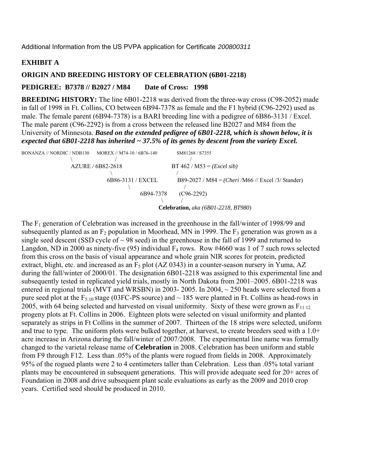#### **EXHIBIT A**

#### **ORIGIN AND BREEDING HISTORY OF CELEBRATION (6B01-2218)**

#### **PEDIGREE: B7378 // B2027 / M84 Date of Cross: 1998**

**BREEDING HISTORY:** The line 6B01-2218 was derived from the three-way cross (C98-2052) made in fall of 1998 in Ft. Collins, CO between 6B94-7378 as female and the F1 hybrid (C96-2292) used as male. The female parent (6B94-7378) is a BARI breeding line with a pedigree of 6B86-3131 / Excel. The male parent (C96-2292) is from a cross between the released line B2027 and M84 from the University of Minnesota. *Based on the extended pedigree of 6B01-2218, which is shown below, it is expected that 6B01-2218 has inherited ~ 37.5% of its genes by descent from the variety Excel.*

| BONANZA // NORDIC / NDB130<br>MOREX // M74-10 / 6B76-140 | SM81268 / S7355                                            |
|----------------------------------------------------------|------------------------------------------------------------|
|                                                          |                                                            |
| AZURE / 6B82-2618                                        | $BT 462 / M53 = (Excel sib)$                               |
|                                                          |                                                            |
| 6B86-3131 / EXCEL                                        | B89-2027 / M84 = ( <i>Cheri</i> /M66 // Excel /3/ Stander) |
|                                                          |                                                            |
|                                                          | 6B94-7378<br>$(C96-2292)$                                  |
|                                                          |                                                            |
|                                                          | <b>Celebration, aka (6B01-2218, BT980)</b>                 |

The  $F_1$  generation of Celebration was increased in the greenhouse in the fall/winter of 1998/99 and subsequently planted as an  $F_2$  population in Moorhead, MN in 1999. The  $F_3$  generation was grown as a single seed descent (SSD cycle of  $\sim$  98 seed) in the greenhouse in the fall of 1999 and returned to Langdon, ND in 2000 as ninety-five (95) individual  $F_4$  rows. Row #4660 was 1 of 7 such rows selected from this cross on the basis of visual appearance and whole grain NIR scores for protein, predicted extract, blight, etc. and increased as an  $F_5$  plot (AZ 0343) in a counter-season nursery in Yuma, AZ during the fall/winter of 2000/01. The designation 6B01-2218 was assigned to this experimental line and subsequently tested in replicated yield trials, mostly in North Dakota from 2001–2005. 6B01-2218 was entered in regional trials (MVT and WRSBN) in 2003- 2005. In 2004,  $\sim$  250 heads were selected from a pure seed plot at the  $F_{5:10}$  stage (03FC-PS source) and  $\sim$  185 were planted in Ft. Collins as head-rows in 2005, with 64 being selected and harvested on visual uniformity. Sixty of these were grown as  $F_{11:12}$ progeny plots at Ft. Collins in 2006. Eighteen plots were selected on visual uniformity and planted separately as strips in Ft Collins in the summer of 2007. Thirteen of the 18 strips were selected, uniform and true to type. The uniform plots were bulked together, at harvest, to create breeders seed with a 1.0+ acre increase in Arizona during the fall/winter of 2007/2008. The experimental line name was formally changed to the varietal release name of **Celebration** in 2008. Celebration has been uniform and stable from F9 through F12. Less than .05% of the plants were rogued from fields in 2008. Approximately 95% of the rogued plants were 2 to 4 centimeters taller than Celebration. Less than .05% total variant plants may be encountered in subsequent generations. This will provide adequate seed for 20+ acres of Foundation in 2008 and drive subsequent plant scale evaluations as early as the 2009 and 2010 crop years. Certified seed should be produced in 2010.